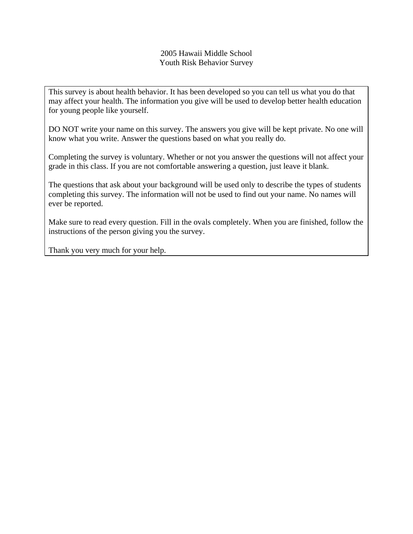# 2005 Hawaii Middle School Youth Risk Behavior Survey

This survey is about health behavior. It has been developed so you can tell us what you do that may affect your health. The information you give will be used to develop better health education for young people like yourself.

DO NOT write your name on this survey. The answers you give will be kept private. No one will know what you write. Answer the questions based on what you really do.

Completing the survey is voluntary. Whether or not you answer the questions will not affect your grade in this class. If you are not comfortable answering a question, just leave it blank.

The questions that ask about your background will be used only to describe the types of students completing this survey. The information will not be used to find out your name. No names will ever be reported.

Make sure to read every question. Fill in the ovals completely. When you are finished, follow the instructions of the person giving you the survey.

Thank you very much for your help.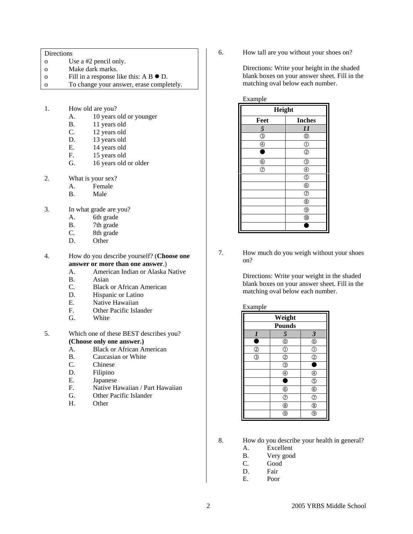#### Directions

- o Use a #2 pencil only.
- o Make dark marks.
- o Fill in a response like this:  $A B \bullet D$ .
- o To change your answer, erase completely.
- 1. How old are you?
	- A. 10 years old or younger
	- B. 11 years old
	- C. 12 years old
	- D. 13 years old
	- E. 14 years old
	- F. 15 years old
	- G. 16 years old or older
- 2. What is your sex?
	- A. Female
	- B. Male
- 3. In what grade are you?
	- A. 6th grade
	- B. 7th grade
	- C. 8th grade
	- D. Other

4. How do you describe yourself? (**Choose one answer or more than one answer**.)

- A. American Indian or Alaska Native
- B. Asian
- C. Black or African American
- D. Hispanic or Latino
- E. Native Hawaiian
- F. Other Pacific Islander
- G. White
- 5. Which one of these BEST describes you? **(Choose only one answer.)**
	- A. Black or African American
	- B. Caucasian or White
	- C. Chinese
	- D. Filipino
	- E. Japanese
	- F. Native Hawaiian / Part Hawaiian
	- G. Other Pacific Islander
	- H. Other

6. How tall are you without your shoes on?

Directions: Write your height in the shaded blank boxes on your answer sheet. Fill in the matching oval below each number.

| Example            |                          |  |  |  |  |
|--------------------|--------------------------|--|--|--|--|
| Height             |                          |  |  |  |  |
| Feet               | <b>Inches</b>            |  |  |  |  |
| 5                  | 11                       |  |  |  |  |
| $\overline{\circ}$ | $^{\circledR}$           |  |  |  |  |
| $^{\circledR}$     | $\circled{0}$            |  |  |  |  |
| ٠                  | $\circled{2}$            |  |  |  |  |
| $^{\circledR}$     | ③                        |  |  |  |  |
| $\circledcirc$     | $\overline{\circledast}$ |  |  |  |  |
|                    | $\circledS$              |  |  |  |  |
|                    | $^{\circ}$               |  |  |  |  |
|                    | $^{\circ}$               |  |  |  |  |
|                    | $^{\circledR}$           |  |  |  |  |
|                    | $^{\circledR}$           |  |  |  |  |
|                    | $^{\circledR}$           |  |  |  |  |
|                    |                          |  |  |  |  |

7. How much do you weigh without your shoes on?

> Directions: Write your weight in the shaded blank boxes on your answer sheet. Fill in the matching oval below each number.

## Example

| Weight                                                              |                         |                                      |  |  |  |
|---------------------------------------------------------------------|-------------------------|--------------------------------------|--|--|--|
| <b>Pounds</b>                                                       |                         |                                      |  |  |  |
| $\boldsymbol{l}$                                                    | 5                       | $\overline{\mathbf{3}}$              |  |  |  |
| г                                                                   | $^{\circledR}$          | $\overline{\mathbb{O}}$              |  |  |  |
| $\frac{\textcircled{\scriptsize{2}}}{\textcircled{\scriptsize{3}}}$ | $\overline{\mathbb{O}}$ | $\overline{\mathbb{C}}$              |  |  |  |
|                                                                     | $\overline{2}$          | $\bar{\textcircled{2}}$              |  |  |  |
|                                                                     | $\overline{\circ}$      |                                      |  |  |  |
|                                                                     |                         | $\bigcirc$                           |  |  |  |
|                                                                     |                         | $\overline{\mathbb{G}}$              |  |  |  |
|                                                                     | $^{\circ}$              | $^{\circ}$                           |  |  |  |
|                                                                     | $\circled{z}$           | T                                    |  |  |  |
|                                                                     | $\overline{\circ}$      | $\overline{\textcircled{\small{8}}}$ |  |  |  |
|                                                                     | 9                       | g                                    |  |  |  |

- 8. How do you describe your health in general?
	- A. Excellent
	- B. Very good
	- C. Good
	- D. Fair
	- E. Poor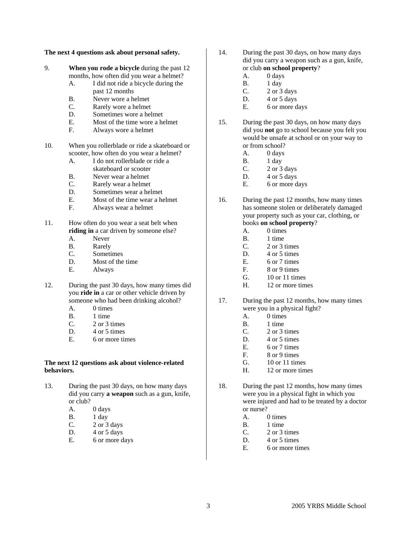#### **The next 4 questions ask about personal safety.**

9. **When you rode a bicycle** during the past 12 months, how often did you wear a helmet?

- A. I did not ride a bicycle during the past 12 months
- B. Never wore a helmet
- C. Rarely wore a helmet
- D. Sometimes wore a helmet
- E. Most of the time wore a helmet
- F. Always wore a helmet

10. When you rollerblade or ride a skateboard or scooter, how often do you wear a helmet?

- A. I do not rollerblade or ride a skateboard or scooter
- B. Never wear a helmet
- C. Rarely wear a helmet
- D. Sometimes wear a helmet
- E. Most of the time wear a helmet
- F. Always wear a helmet
- 11. How often do you wear a seat belt when **riding in** a car driven by someone else?
	- A. Never
	- B. Rarely
	- C. Sometimes
	- D. Most of the time
	- E. Always
- 12. During the past 30 days, how many times did you **ride in** a car or other vehicle driven by someone who had been drinking alcohol?
	- A. 0 times
	- B. 1 time
	- C. 2 or 3 times
	- D. 4 or 5 times
	- E. 6 or more times

## **The next 12 questions ask about violence-related behaviors.**

- 13. During the past 30 days, on how many days did you carry **a weapon** such as a gun, knife, or club?
	- A. 0 days
	- B. 1 day
	- C.  $2 \text{ or } 3 \text{ days}$
	- D.  $4$  or  $5$  days
	- E. 6 or more days
- 14. During the past 30 days, on how many days did you carry a weapon such as a gun, knife, or club **on school property**?
	- A. 0 days
	- B. 1 day
	- C.  $2$  or  $3$  days
	- D.  $4$  or  $5$  days
	- E. 6 or more days
- 15. During the past 30 days, on how many days did you **not** go to school because you felt you would be unsafe at school or on your way to or from school?
	- A. 0 days
	- B. 1 day
	- $C.$  2 or 3 days
	- D.  $4$  or  $5$  days
	- E. 6 or more days
- 16. During the past 12 months, how many times has someone stolen or deliberately damaged your property such as your car, clothing, or books **on school property**?

# A. 0 times

- B. 1 time
- C. 2 or 3 times
- D. 4 or 5 times
- E. 6 or 7 times
- F. 8 or 9 times
- G. 10 or 11 times
- H. 12 or more times
- 17. During the past 12 months, how many times were you in a physical fight?
	- A. 0 times
	- B. 1 time
	- C. 2 or 3 times
	- D. 4 or 5 times
	- E. 6 or 7 times
	- F. 8 or 9 times
	- G. 10 or 11 times
	- H. 12 or more times
- 18. During the past 12 months, how many times were you in a physical fight in which you were injured and had to be treated by a doctor or nurse?
	- A. 0 times
	- B. 1 time
	- C. 2 or 3 times
	- D. 4 or 5 times
	- E. 6 or more times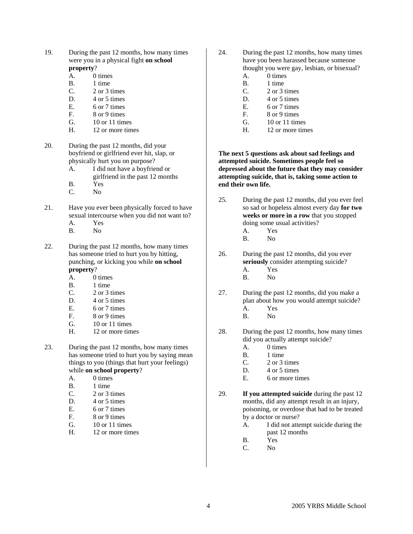- 19. During the past 12 months, how many times were you in a physical fight **on school property**?
	- A. 0 times
	- B. 1 time
	- C. 2 or 3 times
	- D. 4 or 5 times
	- E. 6 or 7 times
	- F. 8 or 9 times
	- G. 10 or 11 times
	- H. 12 or more times
- 20. During the past 12 months, did your boyfriend or girlfriend ever hit, slap, or physically hurt you on purpose?
	- A. I did not have a boyfriend or girlfriend in the past 12 months
	- B. Yes
	- C. No
- 21. Have you ever been physically forced to have sexual intercourse when you did not want to?
	- A. Yes
	- B. No
- 22. During the past 12 months, how many times has someone tried to hurt you by hitting, punching, or kicking you while **on school property**?
	- A. 0 times
	- B. 1 time
	- C. 2 or 3 times
	- D. 4 or 5 times
	- E. 6 or 7 times<br>F. 8 or 9 times
	- 8 or 9 times
	- G. 10 or 11 times
	- H. 12 or more times
- 23. During the past 12 months, how many times has someone tried to hurt you by saying mean things to you (things that hurt your feelings) while **on school property**?
	- A. 0 times
	- B. 1 time
	- C. 2 or 3 times
	- D. 4 or 5 times
	- E. 6 or 7 times
	- F. 8 or 9 times
	- G. 10 or 11 times
	- H. 12 or more times
- 24. During the past 12 months, how many times have you been harassed because someone thought you were gay, lesbian, or bisexual?
	- A. 0 times
	- B. 1 time C. 2 or 3 times
	- D. 4 or 5 times
	- E. 6 or 7 times
	- F. 8 or 9 times
	- G. 10 or 11 times
	- H. 12 or more times

# **The next 5 questions ask about sad feelings and attempted suicide. Sometimes people feel so depressed about the future that they may consider attempting suicide, that is, taking some action to end their own life.**

- 25. During the past 12 months, did you ever feel so sad or hopeless almost every day **for two weeks or more in a row** that you stopped doing some usual activities? A. Yes
	- B. No
	-
- 26. During the past 12 months, did you ever **seriously** consider attempting suicide?
	- A. Yes
	- B. No
- 27. During the past 12 months, did you make a plan about how you would attempt suicide? A. Yes
	- B. No
- 28. During the past 12 months, how many times did you actually attempt suicide?
	- A. 0 times
	- B. 1 time
	- C. 2 or 3 times
	- D. 4 or 5 times
	- E. 6 or more times
- 29. **If you attempted suicide** during the past 12 months, did any attempt result in an injury, poisoning, or overdose that had to be treated by a doctor or nurse?
	- A. I did not attempt suicide during the past 12 months
	- B. Yes
	- C. No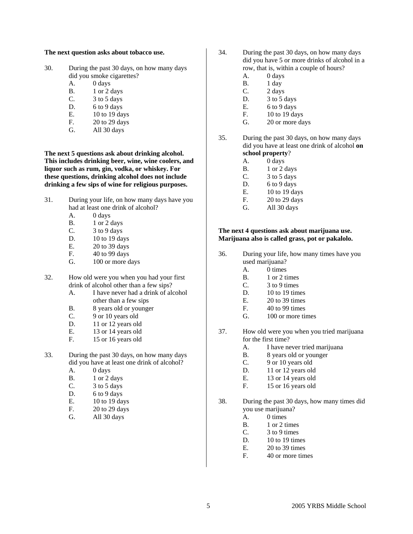#### **The next question asks about tobacco use.**

- 30. During the past 30 days, on how many days did you smoke cigarettes?
	- A. 0 days
	- $B.$  1 or 2 days
	- C.  $3 \text{ to } 5 \text{ days}$
	- D. 6 to 9 days
	- E. 10 to 19 days
	- F. 20 to 29 days
	- G. All 30 days

**The next 5 questions ask about drinking alcohol. This includes drinking beer, wine, wine coolers, and liquor such as rum, gin, vodka, or whiskey. For these questions, drinking alcohol does not include drinking a few sips of wine for religious purposes.** 

- 31. During your life, on how many days have you had at least one drink of alcohol?
	- A. 0 days
	- B. 1 or 2 days
	- C.  $3 to 9 days$
	- D. 10 to 19 days
	- E. 20 to 39 days
	- F. 40 to 99 days
	- G. 100 or more days

32. How old were you when you had your first drink of alcohol other than a few sips?

- A. I have never had a drink of alcohol other than a few sips
- B. 8 years old or younger
- C. 9 or 10 years old
- D. 11 or 12 years old
- E. 13 or 14 years old
- F. 15 or 16 years old
- 33. During the past 30 days, on how many days did you have at least one drink of alcohol?
	- A. 0 days
	- B. 1 or 2 days
	- C. 3 to 5 days
	- D. 6 to 9 days
	- E. 10 to 19 days
	- F. 20 to 29 days
	- G. All 30 days
- 34. During the past 30 days, on how many days did you have 5 or more drinks of alcohol in a row, that is, within a couple of hours?
	- A. 0 days
	- B. 1 day
	- C. 2 days
	- D. 3 to 5 days
	- E.  $6 to 9 days$
	- F. 10 to 19 days
	- G. 20 or more days
- 35. During the past 30 days, on how many days did you have at least one drink of alcohol **on school property**?
	- A. 0 days
	- B. 1 or 2 days
	- C.  $3 \text{ to } 5 \text{ days}$
	- D. 6 to 9 days
	- E. 10 to 19 days
	- F. 20 to 29 days
	- G. All 30 days

## **The next 4 questions ask about marijuana use. Marijuana also is called grass, pot or pakalolo.**

- 36. During your life, how many times have you used marijuana?
	- A. 0 times
	- B. 1 or 2 times
	- C. 3 to 9 times
	- D. 10 to 19 times
	- E. 20 to 39 times
	- F. 40 to 99 times
	- G. 100 or more times
- 37. How old were you when you tried marijuana for the first time?
	- A. I have never tried marijuana
	- B. 8 years old or younger
	- C. 9 or 10 years old
	- D. 11 or 12 years old
	- E. 13 or 14 years old
	- F. 15 or 16 years old
- 38. During the past 30 days, how many times did you use marijuana?
	- A. 0 times
	- B. 1 or 2 times
	- C. 3 to 9 times
	- D. 10 to 19 times
	- E. 20 to 39 times
	- F. 40 or more times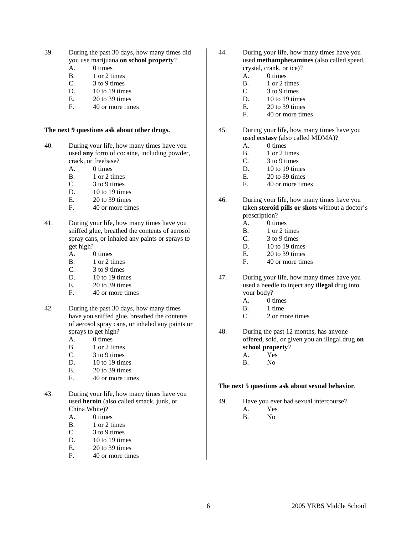- 39. During the past 30 days, how many times did you use marijuana **on school property**?
	- A. 0 times
	- B. 1 or 2 times
	- $C.$  3 to 9 times
	- D. 10 to 19 times
	- E. 20 to 39 times
	- F. 40 or more times

## **The next 9 questions ask about other drugs.**

- 40. During your life, how many times have you used **any** form of cocaine, including powder, crack, or freebase?
	- A. 0 times
	- B. 1 or 2 times
	- C. 3 to 9 times
	- D. 10 to 19 times
	- E. 20 to 39 times
	- F. 40 or more times
- 41. During your life, how many times have you sniffed glue, breathed the contents of aerosol spray cans, or inhaled any paints or sprays to get high?
	- A. 0 times
	- B. 1 or 2 times
	- C. 3 to 9 times
	- D. 10 to 19 times
	- E. 20 to 39 times
	- F. 40 or more times
- 42. During the past 30 days, how many times have you sniffed glue, breathed the contents of aerosol spray cans, or inhaled any paints or sprays to get high?
	- A. 0 times
	- B. 1 or 2 times
	- C. 3 to 9 times
	- D. 10 to 19 times
	- E. 20 to 39 times
	- F. 40 or more times
- 43. During your life, how many times have you used **heroin** (also called smack, junk, or China White)?
	- A. 0 times
	- B. 1 or 2 times
	- C. 3 to 9 times
	- D. 10 to 19 times
	- E. 20 to 39 times
	- F. 40 or more times
- 44. During your life, how many times have you used **methamphetamines** (also called speed, crystal, crank, or ice)?
	- A. 0 times
	- B. 1 or 2 times
	- C. 3 to 9 times
	- D. 10 to 19 times
	- E. 20 to 39 times
	- F. 40 or more times
- 45. During your life, how many times have you used **ecstasy** (also called MDMA)?
	- A. 0 times
	- B. 1 or 2 times
	- C. 3 to 9 times
	- D. 10 to 19 times
	- E. 20 to 39 times
	- F. 40 or more times
- 46. During your life, how many times have you taken **steroid pills or shots** without a doctor's prescription?
	- A. 0 times
	- B. 1 or 2 times
	- $C.$  3 to 9 times
	- D. 10 to 19 times
	- E. 20 to 39 times
	- F. 40 or more times
- 47. During your life, how many times have you used a needle to inject any **illegal** drug into your body?
	- A. 0 times
	- B. 1 time
	- C. 2 or more times
- 48. During the past 12 months, has anyone offered, sold, or given you an illegal drug **on school property**?
	- A. Yes
	- B. No

# **The next 5 questions ask about sexual behavior**.

- 49. Have you ever had sexual intercourse?
	- A. Yes
	- B. No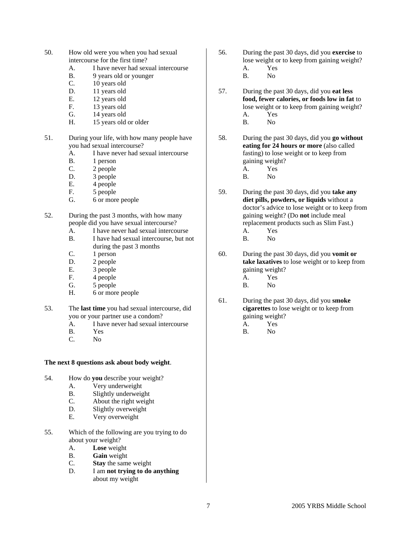- 50. How old were you when you had sexual intercourse for the first time?
	- A. I have never had sexual intercourse
	- B. 9 years old or younger
	- C. 10 years old
	- D. 11 years old
	- E. 12 years old
	- F. 13 years old
	- G. 14 years old
	- H. 15 years old or older
- 51. During your life, with how many people have you had sexual intercourse?
	- A. I have never had sexual intercourse
	- B. 1 person
	- C. 2 people
	- D. 3 people
	- E. 4 people
	- F. 5 people
	- G. 6 or more people
- 52. During the past 3 months, with how many people did you have sexual intercourse?
	- A. I have never had sexual intercourse
	- B. I have had sexual intercourse, but not during the past 3 months
	- C. 1 person
	- D. 2 people
	- E. 3 people
	- F. 4 people
	- G. 5 people
	- H. 6 or more people
- 53. The **last time** you had sexual intercourse, did you or your partner use a condom?
	- A. I have never had sexual intercourse
	- B. Yes
	- C. No

## **The next 8 questions ask about body weight**.

- 54. How do **you** describe your weight?
	- A. Very underweight
	- B. Slightly underweight
	- C. About the right weight
	- D. Slightly overweight
	- E. Very overweight
- 55. Which of the following are you trying to do about your weight?
	- A. **Lose** weight
	- B. **Gain** weight
	- C. **Stay** the same weight
	- D. I am **not trying to do anything** about my weight
- 56. During the past 30 days, did you **exercise** to lose weight or to keep from gaining weight? A. Yes
	- B. No
- 57. During the past 30 days, did you **eat less food, fewer calories, or foods low in fat** to lose weight or to keep from gaining weight? A. Yes B. No
	-
- 58. During the past 30 days, did you **go without eating for 24 hours or more** (also called fasting) to lose weight or to keep from gaining weight?
	- A. Yes
	- B. No
- 59. During the past 30 days, did you **take any diet pills, powders, or liquids** without a doctor's advice to lose weight or to keep from gaining weight? (Do **not** include meal replacement products such as Slim Fast.) A. Yes
	- B. No
- 60. During the past 30 days, did you **vomit or take laxatives** to lose weight or to keep from gaining weight?
	- A. Yes
	- B. No
- 61. During the past 30 days, did you **smoke cigarettes** to lose weight or to keep from gaining weight?
	- A. Yes
	- B. No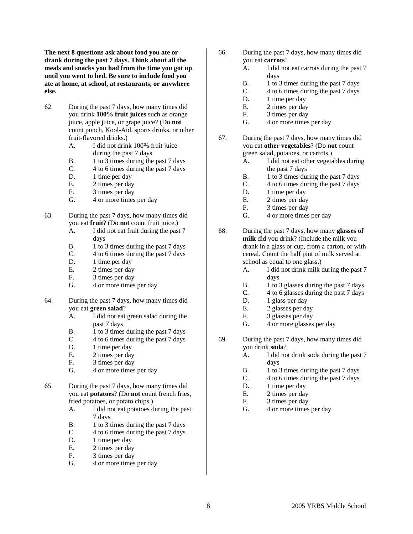**The next 8 questions ask about food you ate or drank during the past 7 days. Think about all the meals and snacks you had from the time you got up until you went to bed. Be sure to include food you ate at home, at school, at restaurants, or anywhere else.** 

- 62. During the past 7 days, how many times did you drink **100% fruit juices** such as orange juice, apple juice, or grape juice? (Do **not** count punch, Kool-Aid, sports drinks, or other fruit-flavored drinks.)
	- A. I did not drink 100% fruit juice during the past 7 days
	- B. 1 to 3 times during the past 7 days
	- C. 4 to 6 times during the past 7 days
	- D. 1 time per day
	- E. 2 times per day
	- F. 3 times per day
	- G. 4 or more times per day
- 63. During the past 7 days, how many times did you eat **fruit**? (Do **not** count fruit juice.)
	- A. I did not eat fruit during the past 7 days
	- B. 1 to 3 times during the past 7 days
	- C. 4 to 6 times during the past 7 days
	- D. 1 time per day
	- E. 2 times per day
	- F. 3 times per day
	- G. 4 or more times per day
- 64. During the past 7 days, how many times did you eat **green salad**?
	- A. I did not eat green salad during the past 7 days
	- B. 1 to 3 times during the past 7 days
	- C. 4 to 6 times during the past 7 days
	- D. 1 time per day
	- E. 2 times per day
	- F. 3 times per day
	- G. 4 or more times per day
- 65. During the past 7 days, how many times did you eat **potatoes**? (Do **not** count french fries, fried potatoes, or potato chips.)
	- A. I did not eat potatoes during the past 7 days
	- B. 1 to 3 times during the past 7 days
	- C. 4 to 6 times during the past 7 days
	- D. 1 time per day
	- E. 2 times per day
	- F. 3 times per day
	- G. 4 or more times per day
- 66. During the past 7 days, how many times did you eat **carrots**?
	- A. I did not eat carrots during the past 7 days
	- B. 1 to 3 times during the past 7 days
	- C. 4 to 6 times during the past 7 days
	- D. 1 time per day
	- E. 2 times per day
	- F. 3 times per day
	- G. 4 or more times per day
- 67. During the past 7 days, how many times did you eat **other vegetables**? (Do **not** count green salad, potatoes, or carrots.)
	- A. I did not eat other vegetables during the past 7 days
	- B. 1 to 3 times during the past 7 days
	- C. 4 to 6 times during the past 7 days
	- D. 1 time per day
	- E. 2 times per day
	- F. 3 times per day
	- G. 4 or more times per day
- 68. During the past 7 days, how many **glasses of milk** did you drink? (Include the milk you drank in a glass or cup, from a carton, or with cereal. Count the half pint of milk served at school as equal to one glass.)
	- A. I did not drink milk during the past 7 days
	- B. 1 to 3 glasses during the past 7 days
	- C. 4 to 6 glasses during the past 7 days
	- D. 1 glass per day
	- E. 2 glasses per day
	- F. 3 glasses per day
	- G. 4 or more glasses per day
- 69. During the past 7 days, how many times did you drink **soda**?
	- A. I did not drink soda during the past 7 days
	- B. 1 to 3 times during the past 7 days
	- C. 4 to 6 times during the past 7 days
	- D. 1 time per day
	- E. 2 times per day
	- F. 3 times per day
	- G. 4 or more times per day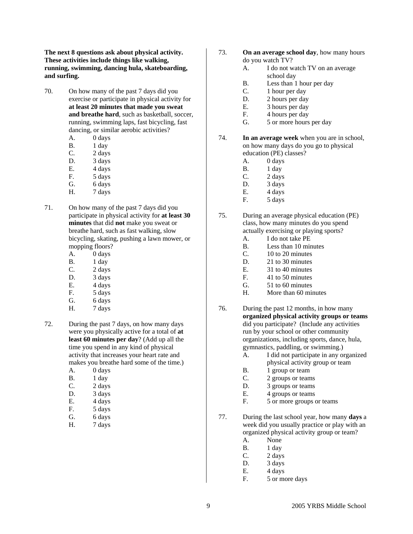**The next 8 questions ask about physical activity. These activities include things like walking, running, swimming, dancing hula, skateboarding, and surfing.** 

- 70. On how many of the past 7 days did you exercise or participate in physical activity for **at least 20 minutes that made you sweat and breathe hard**, such as basketball, soccer, running, swimming laps, fast bicycling, fast dancing, or similar aerobic activities?
	- A. 0 days
	- B. 1 day
	- C. 2 days
	- D. 3 days
	- E. 4 days
	- F. 5 days
	- G. 6 days
	- H. 7 days
- 71. On how many of the past 7 days did you participate in physical activity for **at least 30 minutes** that did **not** make you sweat or breathe hard, such as fast walking, slow bicycling, skating, pushing a lawn mower, or mopping floors?
	- A. 0 days
	- B. 1 day
	- C. 2 days
	- D. 3 days
	- E. 4 days
	- F. 5 days
	- G. 6 days
	- H. 7 days
- 72. During the past 7 days, on how many days were you physically active for a total of **at least 60 minutes per day**? (Add up all the time you spend in any kind of physical activity that increases your heart rate and makes you breathe hard some of the time.)
	- A. 0 days
	- B. 1 day
	- C. 2 days
	- D. 3 days
	- E. 4 days
	- F. 5 days
	- G. 6 days
	- H. 7 days
- 73. **On an average school day**, how many hours do you watch TV?
	- A. I do not watch TV on an average school day
	- B. Less than 1 hour per day
	- C. 1 hour per day
	- D. 2 hours per day
	- E. 3 hours per day
	- F. 4 hours per day
	- G. 5 or more hours per day

### 74. **In an average week** when you are in school, on how many days do you go to physical education (PE) classes?

- A. 0 days
- B. 1 day
- C. 2 days
- D. 3 days
- E. 4 days
- F. 5 days
- 75. During an average physical education (PE) class, how many minutes do you spend actually exercising or playing sports?
	- A. I do not take PE
	- B. Less than 10 minutes
	- C. 10 to 20 minutes
	- D. 21 to 30 minutes
	- E. 31 to 40 minutes
	- F. 41 to 50 minutes
	- G. 51 to 60 minutes
	- H. More than 60 minutes
- 76. During the past 12 months, in how many **organized physical activity groups or teams** did you participate? (Include any activities run by your school or other community organizations, including sports, dance, hula, gymnastics, paddling, or swimming.)
	- A. I did not participate in any organized physical activity group or team
	- B. 1 group or team
	- C. 2 groups or teams
	- D. 3 groups or teams
	- E. 4 groups or teams
	- F. 5 or more groups or teams
- 77. During the last school year, how many **days** a week did you usually practice or play with an organized physical activity group or team?
	- A. None
	- B. 1 day
	- C. 2 days
	- D. 3 days
	- E. 4 days
	- F. 5 or more days